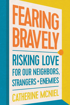# H **RISKING LOVE** FOR OUR NEIGHBORS. **STRANGERS + ENEMIES CATHERINE MCNIEL**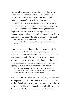Can Christians be genuine peacemakers in our fragmented, polarized world? I hope so, and when I read books like Catherine McNiel's *Fearing Bravely*, I am encouraged. McNiel is a wonderful storyteller, and her wisdom, honesty, and commitment to Jesus and Scripture shepherd us toward becoming better human beings. This practical and engaging book draws us to love God and love our neighbors more deeply, despite the forces that drive wedges between us. I encourage you to read this book with others so you can discern together how you might take risks to love more authentically.

REV. DR. DENNIS R. EDWARDS, associate professor of New Testament, North Park Theological Seminary; author of *Might from the Margins*

At a time when many Christians feel threatened and afraid, Catherine McNiel calls us to courage, inviting us to love our neighbors, strangers, and even enemies in countercultural ways rooted in the example of Jesus. I hope Christians everywhere will read—and heed—this wise, insightful, and challenging book, for the sake of vulnerable neighbors and, even more urgently, to reclaim the public witness of the church.

**MATTHEW SOERENS, US director of church mobilization and** advocacy, World Relief; coauthor of *Welcoming the Stranger: Justice, Compassion and Truth in the Immigration Debate*

Fear, or fear of God? Whom or what do we fear, and what does that imply for our lives in a world that is not safe? How does our fear of God or fear of someone or something else influence our love for neighbors? This book is powerful, calling us to live the life Jesus intended for us, not a bland and ineffective faith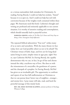or a vicious nationalistic faith mistaken for Christianity. In reading *Fearing Bravely*, I could not help but exclaim, "Amen!" because it is so spot-on. And I could not help but reel with conviction because of the weighty truth contained within these pages. We Americans need this book. Catherine's thought and writing are profound and eminently applicable to our current situation. It is worthy of attentive reading and contemplation, which should naturally lead to prayerful action.

**MARLENA GRAVES,** author of *The Way Up Is Down* and *Forty Days on Being a Nine: Enneagram Daily Reflections*

The repeated biblical admonition "Fear not!" strikes many of us as naive and unrealistic. With the many threats we face today, how can God possibly exhort us not to be afraid? The Christian virtues of faith, hope, and love are for long-dead saints living in easier, simpler times in ages past, right? Not so, says Catherine McNiel. In *Fearing Bravely*, she capably demonstrates why we can, in fact, let go of fear and choose instead the risky, cruciform way of love. She does so with the winsomeness of a storyteller, the gentleness of a pastor, and the chutzpah of a prophet. In *Fearing Bravely*, McNiel has given us an invaluable gift: The opportunity to confront and repent of our fear-full malformation as Christians so that we can pursue Jesus' better way of neighbor-, stranger-, and enemy-love. I pray many will take, read, and heed the powerful message of this timely book.

REV. DR. EMILY HUNTER McGOWIN, assistant professor of theology, Wheaton College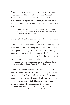Powerful. Convicting. Encouraging. In our broken world today, Catherine McNiel's call to live a life of active love that resists fear rings true and bold. *Fearing Bravely* guides us to confront the things we hate and our greatest fears, from neighbors and strangers to political realities, with the love of Jesus.

**MICHELLE AMI REYES,** vice president, Asian American Christian Collaborative; author of *Becoming All Things: How Small Changes Lead to Lasting Connections Across Cultures* 

This is the book author Catherine McNiel was born to write. Her words are compassionate, prophetic, and for such a time as this. For anyone who wants to love as Jesus loved, especially in the midst of our increasingly divided world, this book is a gentle guide and a tough coach all at once. With theological acumen and a sharp wit, McNiel reminds the church who we are meant to be—a people who love Jesus through the act of loving our neighbors, strangers, and enemies.

AUBREY SAMPSON, church planter and pastor at Renewal Church; speaker; author of *Known*, *The Louder Song*, and *Overcomer*

McNiel has written a biblically sharp and practically wise book that points the way forward for how disciples of Jesus can overcome their fears in order to live lives of hospitality, friendship, and love for neighbors, friends, and family. This book is a perfect text for individuals and church groups hoping to embody the teachings and life of Jesus.

**IOSHUA W. JIPP, associate professor of New Testament, Trinity** Evangelical Divinity School; author of *Saved by Faith and Hospitality*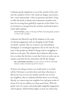Catherine gently shepherds us out of the tunnels of fear and into the meadows of love. Her words are elegant and incisive, but—more importantly—they are generous and kind. I long to offer this book to family and community members who have for too long been guided by suspicion of the Other. It is an invitation to emerge from the trenches and break bread at God's table together.

LIUAN HUSKA, author of *Hurting Yet Whole: Reconciling Body and Spirit in Chronic Pain and Illness*

Catherine has lifted the rug off the elephant in the room of cultural engagement and our changing world. People are afraid—period. They try to dress it up with political, theological, or sociological arguments, but in the end, the core issue is that people are afraid of change and are struggling to hold on to the past. The solution that Catherine offers is not for us to deny the fear but to trust that God is at work, stay on mission, and then let love and justice roll. Be the change!

**DR. ALEJANDRO MANDES, executive director of EFCA's All People** Initiative; author of *Embracing the New Samaria*

If there's one thing we know our world needs, it is a fresh call for Christians to actively show and share what Jesus is like by the way we love one another and the way we love our neighbors. But as Catherine McNeil shows us in *Fearing Bravely*, we cannot step into neighbor love and great works of justice if we do not address our deep-seated fears. With the gentle voice of a pastor and profoundly insightful engagement with Scripture, McNeil shines lights on how our culture has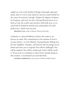taught us to be overly fearful of things and people, ignorant about what it is we're truly afraid of, and not nearly fearful (in the sense of reverence) enough. Chapter by chapter, Scripture by Scripture, and story by story, *Fearing Bravely* invites us to look at God, the world, and ourselves with fresh eyes, so we may both be healed by and become ambassadors of God's perfect love, which casts out fear.

**BRONWYN LEA,** author of *Beyond Awkward Side Hugs* 

Catherine is a devoted follower of Jesus who seeks to see heaven on earth. Her commitment to the mission of God is not just theory—it is her lifestyle. *Fearing Bravely: Risking Love for Our Neighbors, Strangers, and Enemies* will encourage you to think and invite you to respond. You will be challenged. You will be inspired. You will be confronted. And it will be worth it. If you want to contribute to what God is already doing in this creation, I recommend you read this book.

**HANIBAL RODRIGUEZ**, senior pastor of Wheaton Bible Church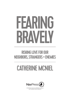## RISKING LOVE FOR OUR NEIGHBORS, STRANGERS + ENEMIES

## CATHERINE MCNIEL



*A NavPress resource published in alliance with Tyndale House Publishers*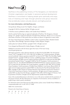## $\mathsf{NavPress}(\blacktriangle)$

NavPress is the publishing ministry of The Navigators, an international Christian organization and leader in personal spiritual development. NavPress is committed to helping people grow spiritually and enjoy lives of meaning and hope through personal and group resources that are biblically rooted, culturally relevant, and highly practical.

#### **For more information, visit NavPress.com.**

*Fearing Bravely: Risking Love for Our Neighbors, Strangers, and Enemies* Copyright © 2022 by Catherine McNiel. All rights reserved.

A NavPress resource published in alliance with Tyndale House Publishers.

*NavPress* and the NavPress logo are registered trademarks of NavPress, The Navigators, Colorado Springs, CO. *Tyndale* is registered trademark of Tyndale House Ministries. Absence of ® in connection with marks of NavPress or other parties does not indicate an absence of registration of those marks.

The Team: David Zimmerman, Publisher; Caitlyn Carlson, Acquisitions Editor; Elizabeth Schroll, Copy Editor; Olivia Eldredge, Operations Manager; Lindsey Bergsma, Designer

Author photo by Catherine McNiel, copyright © 2021. All rights reserved.

Cover designed and illustrated by Lindsey Bergsma. All rights reserved.

Published in association with the literary agent Don Gates of The Gates Group, www.the-gates-group.com

All Scripture quotations, unless otherwise indicated, are taken from the Holy Bible, *New International Version*,<sup>®</sup> *NIV*.® Copyright © 1973, 1978, 1984, 2011 by Biblica, Inc.® Used by permission. All rights reserved worldwide. Scripture quotations marked ESV are from the ESV® Bible (The Holy Bible, English Standard Version®), copyright © 2001 by Crossway, a publishing ministry of Good News Publishers. Used by permission. All rights reserved. Scripture quotations marked ISV are taken from the Holy Bible: International Standard Version.® Copyright © 2003 by The ISV Foundation. Used by permission of Davidson Press, Inc. ALL RIGHTS RESERVED INTERNATIONALLY. Scripture quotations marked NLT are taken from the *Holy Bible*, New Living Translation, copyright © 1996, 2004, 2015 by Tyndale House Foundation. Used by permission of Tyndale House Publishers, Carol Stream, Illinois 60188. All rights reserved. Scripture quotations marked NRSV are taken from the New Revised Standard Version Bible, copyright © 1989, Division of Christian Education of the National Council of the Churches of Christ in the United States of America. Used by permission. All rights reserved. Scripture quotations marked MSG are taken from The Message, copyright © 1993, 2002, 2018 by Eugene H. Peterson. Used by permission of NavPress. All rights reserved. Represented by Tyndale House Publishers.

Some of the anecdotal illustrations in this book are true to life and are included with the permission of the persons involved. All other illustrations are composites of real situations, and any resemblance to people living or dead is purely coincidental.

For information about special discounts for bulk purchases, please contact Tyndale House Publishers at csresponse@tyndale.com, or call 1-855-277-9400.

ISBN 978-1-64158-326-8

Printed in the United States of America

|  |  | 28 27 26 25 24 23 22 |  |
|--|--|----------------------|--|
|  |  | 7 6 5 4 3 2 1        |  |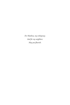*For Matthew, my orthopraxy. And for my neighbors: May you flourish.*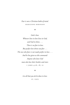#### *Fear is not a Christian habit of mind.* Marilynne Robinson

#### ❖

*God is love. Whoever lives in love lives in God, and God in them. . . . There is no fear in love. But perfect love drives out fear . . . The one who fears is not made perfect in love. . . . And he has given us this command: Anyone who loves God must also love their brother and sister.* 1 John 4:16, 18, 21

#### ❖

*Let all that you do be done in love.* St. Paul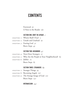## **CONTENTS**

 [Foreword](#page-15-0) *xv* [A Note to the Reader](#page-19-0) *xix*

#### [SECTION ONE: DON'T BE AFRAID](#page-21-0) *1*

| CHAPTER I: Whom Shall I Fear? 5   |
|-----------------------------------|
| CHAPTER 2: Unsafe and Unafraid 19 |
| CHAPTER 3: Fearing God 31         |
| Brave Steps 43                    |

#### SECTION TWO: NEIGHBORS *47*

|                         | CHAPTER 4: Next-Door Strangers 51                      |  |
|-------------------------|--------------------------------------------------------|--|
|                         | CHAPTER 5: Who Are the People in Your Neighborhood? 63 |  |
| CHAPTER 6: Jubilee $75$ |                                                        |  |
|                         | Brave Steps 85                                         |  |

#### SECTION THREE: STRANGERS *89*

|  | CHAPTER 7: Stranger Things 93           |
|--|-----------------------------------------|
|  | CHAPTER 8: Becoming Angels 107          |
|  | CHAPTER 9: The Strange Image of God 121 |
|  | Brave Steps 137                         |

#### INTERMISSION *141*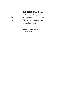#### SECTION FOUR: ENEMIES *143*

CHAPTER 10: A Hard Teaching  $147$  Chapter 11: Our Nonviolent God *161* CHAPTER 12: Wrestling Reconciliation 173 Brave Steps *191*

> Acknowledgments *197* Notes *203*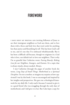## <span id="page-15-0"></span>**FOREWORD**

I have spent my writing life inviting followers of Jesus to see their immigrant neighbors as God sees them, and to love them with a fierce and holy love that won't settle for anything less than justice and flourishing for all. This has been God's call to me, and it's one that I've embraced wholeheartedly. But it has been a difficult call because, though we originate in a God who is love, our default isn't to love our neighbors. That is why I'm so grateful that Catherine wrote *Fearing Bravely: Risking Love for our Neighbors, Strangers, and Enemies*. It's a topic that is always timely, always needed. Always.

I met Catherine through the pages of another book she wrote, *Long Days of Small Things: Motherhood as a Spiritual Discipline*. I'm not a mother, so imagine my surprise at how captivated I was by this book. I was so encouraged and inspired by her insights and perspectives. She gave me a theological framework for my daily life. I only read it because I wanted to give it to a good friend who was struggling through the early days of motherhood, and I *did* give it to her. But I also kept a copy for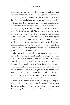myself because I learned so much about how to walk with Jesus day by day in the ordinary tasks of my days and how to love the women in my life who are mothers. It strikes me now that even then Catherine was helping me love my neighbors as myself.

Much later, I had the privilege of meeting Catherine and talking with her about my own writing. I learned that she is one who walks closely with God, and she writes out of the overflow of the Spirit in her own life. You will sense it too when you encounter the vulnerability of her writing and the freshness of her ideas on neighbor love. She understands that neighbor love isn't romantic or sentimental—it's a call to love in action, which can be messy and complicated. And just like Jesus' love, it's sacrificial and costly. But it is also worth it because Jesus' command to love our neighbors is freeing—it's a blessing to us to obey him and walk in his ways.

Growing up in the faith, I was often taught that the trajectory of the Scriptures is from being lost to being found, from being enslaved to being free, from being a stranger to being a member of the family of God. I see that trajectory in the Scriptures, but overall, I see what Catherine sees: the trajectory of moving from fear to love. C. S. Lewis once said, "Next to the Blessed Sacrament itself, your neighbour is the holiest object presented to your senses."<sup>1</sup> I believe him. I really do. I know my neighbors are image-bearers of God. But in my experience, the hardest teaching of Jesus by far is the call to love our neighbors as ourselves. It's much easier to hate my neighbor, envy my neighbor, slander my neighbor, and fear my neighbor. It seems that no matter how long we have been following Jesus, we need this teaching, this command to love. We need it daily.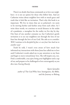#### FOREWORD

There's no doubt that Jesus commands us to love our neighbors—it is not an option for those who follow him. And yet Catherine writes about neighbor love with so much grace and truth that it feels like an invitation. That's why this book is so important. We live in times that are so polarized—we seem to be moving further and further away from each other. As I write these words, we continue to social distance in the midst of a pandemic, a metaphor for the reality we live day by day. Our fears of one another consume us, but Catherine's gentle invitation is to see our neighbors not through the lens of our fears but through the love of our God. She asks us to consider: *Will I continue to be discipled by fear, or can Jesus' love lead me to another way?*

Truth be told, I wasn't even aware of how much fear informed my interactions with those Jesus has called me to love until Catherine's words asked me to pay attention to my fears and begin to move toward Jesus' love. She will inspire you, too. Find a comfortable, cozy spot; bring your highlighter and a cup of tea; and prepare to be challenged to love extravagantly as you dive into *Fearing Bravely*.

> *Karen González author of* The God Who Sees: Immigrants, the Bible, and the Journey to Belong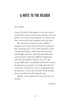## <span id="page-19-0"></span>A NOTE TO THE READER

#### *Dear Reader,*

*I wrote this book so that together we can learn about, wrestle with, and overcome the fears that get in the way of love. I wrote out of my longing for us to choose to be brave with our fear and courageous with each other.*

*But conversations about love, fear, neighbors, strangers, and enemies always come from a particular place and perspective. I am a white American citizen, a practicing Christian, and I know that my words and thoughts and stories reflect that particular place and perspective. People from different backgrounds experience the dynamics of power, fear, love, and courage differently. I cannot fully understand or express the dynamics you may face, but I hope that what I've written here will help you arrive at language for your own journey. I come to you with open hands, praying that we can help each other along the way.*

*Together, may we find the love that overcomes all our fear.*

*Catherine*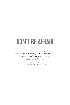## <span id="page-21-0"></span>Section One DON'T BE AFRAID

*Fear is your best friend or your worst enemy. It's like fire. If you can control it, it can cook for you; it can heat your house. If you can't control it, it will burn everything around you and destroy you.*

> MIKE TYSON, paraphrasing Cus D'Amato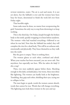Sunday morning, early. The air is cool and moist. It is not yet dawn, but the Sabbath is over and the women have been busy for hours, determined to finish the work left over from Friday night.

That horrible night.

Some tasks must be done, no matter how overpowering the grief. Sometimes the only way to stop from drowning is to keep working.

This is the third day. On Friday, Joseph brought the broken body to the tomb, quickly wrapping it in linen before sundown. The women— who had watched everything— followed to see where he was laid. Now that the Sabbath has ended, they will complete the rites for a dead body. This will be an arduous task, emotionally and physically. They brace themselves as they walk into the tomb.

But the grave is empty. There is nothing there.

The women glance at each other, confused and afraid. When your teacher has been executed, you are never safe. Not anywhere, but especially not here. *Who has taken the body? Is this a trap?*

Then, two men suddenly appear before them. Shocking enough in this dark, secluded place, but worse, these men shine like lightning. The women can hardly look at the brightness. Trembling, they grip each other, shielding their eyes, trying not to collapse in fear.

The men begin to speak, words the women cannot absorb, words that cannot be true. Words that will change everything. The lightning men look these women in the eyes and say: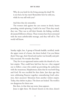#### DON'T BE AFRAID

Why do you look for the living among the dead? He is not here; he has risen! Remember how he told you, while he was still with you?<sup>1</sup>

And then they do remember.

The women sink against the cave stones in shock, hearts pounding, minds spinning. Could it be true? Then they stand, they run. They run to tell their friends, the hiding, terrified, devastated followers of Jesus. These women have been entrusted with the most unbelievable message, and they will tell it. The world will know.

Sunday night, late. A group of friends huddle, terrified, inside the upper room of a house, the doors locked. Can you blame them? Days ago, their friend and teacher was brutally and publicly executed. No wonder they hide.

They live in an oppressed nation under the thumb of a violent empire. They could have laid low, but no— they stepped out to follow a man who ended up provoking the authorities with the treasonous, blasphemous claim that he was both King and God. He was crucified for that claim. Just days ago they were celebrating Passover together, remembering God's salvation, their ancestors' liberation from another violent empire. Today, they shelter in place. The doors are locked. The world is too dangerous for them now.

But then, in that shut-up room, Jesus appears.

Jesus is right there. He doesn't knock on the door, doesn't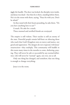jiggle the handle. The door was locked, the disciples were inside, and Jesus was dead— but then he is there, standing before them. He is in the room with them, saying, "Peace be with you. Don't be afraid."

As they stand with their hearts pounding, he asks them, "Do you have anything here to eat?"<sup>2</sup>

A snack. He asks for a snack.

These stunned and terrified friends are overjoyed.

The empire is still violent. Their teacher is still an enemy of the state. Powerful people remain hell-bent on silencing those who teach that God's Kingdom rests on mercy and justice, not greed and oppression. The dangers do not evaporate with Jesus' resurrection— they multiply. This community will huddle in this room many times in the months to come, sheltering, praying. They will never be safe or successful by any normal definition. Life will never be "normal" again, not ever, not at all.

Only one thing has changed, and somehow, that one thing is enough to change everything:

Jesus is in the room.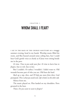### <span id="page-25-0"></span>CHAPTER I WHOM SHALL I FEAR?

I SAT IN THE BACK OF THE CHURCH SANCTUARY ON a muggy summer evening, head in my hands. Worship music filled the room, and flies buzzed around noisy ceiling fans, but I could hear God's gentle voice as clearly as if Jesus were sitting beside me in the pew:

*It's time. Time to put aside your fear. It's time to learn how to forgive, how to risk, how to love.*

But I couldn't. Or rather, I wouldn't. I didn't want to. Old wounds become part of who you are. Old fears die hard.

*Back up a step, then, and I'll help you move from there,* God prompted. *This is what you need to do. Life is better on the other side.*

Silence from me.

The music played on. Flies landed on my shoulders. Pews groaned in the heat.

Then: *Do you want to want to forgive?*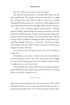No. No. I didn't even want to want to forgive.

The trauma I experienced was a decade old by then, but the pain stayed fresh. The people who harmed me had not asked for my forgiveness, and I did not offer it. Over time, wounds reshaped themselves into fear— a protective reflex against future pain. Mistrust became the lens through which I viewed everyone.

I spent years wrestling against being known. Healing requires healthy relationships and caring community, but fear had such a solid head start. I hadn't consciously put walls up to protect myself, but the barriers were there all the same, tall and strong. I'd grown skilled at keeping would- be friends from getting close enough to hurt me— or love me— lest they tear open old wounds. But the walls I'd built to protect myself merely trapped me alone with fear.

In a vicious cycle, fear kept me from the love I needed to escape fear.

I'd reached a crisis point, a fork in the road. God asked me to move forward, toward a love that casts out fear. Fear fought to retain control, keeping me from love. Which would I choose? I could not try to serve them both.

God sat beside me in that humid room for a long, long time, gently backing me up step-by-step until we arrived at a starting place so miniscule I agreed to try.

Most of us reach that fork in the road at some point. We've been harmed by others, and our pain and distrust informs how we proceed through life, how we view those around us. But rather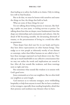than leading us to safety, fear holds us in chains. Only in risking love will we find freedom.

But to do that, we must be honest with ourselves and name the things we fear, the things that hold us back.

What are some of these things for you?

I'm not talking about feeling anxious or insecure, like finding a spider on your jeans, or feeling nervous at parties. I'm talking about fears that are deeper, more fundamental, fears that shape our relationships and communities and cultures. Like the dread of life becoming unstable, the devastating aftermath of trauma, or the precariousness of loving in a world that offers no guarantees.

These deeper fears don't just live in our heads and hearts; they have direct repercussions on other human beings. They nudge us to view people as inherently worthy of our distrust or contempt, rather than fellow humans we are called to love. I hear these messages expressed out loud almost every day. They take up so much bandwidth in our collective consciousness that we may not realize the words and implications are rooted in fear. After all, fear sounds like weakness, and these warnings seem so right and wise.

But sometimes what sounds like wisdom is in tension with God's good news.

Jesus commands us to love our neighbors. But we often hold our neighbors at arm's length.

God instructs us to welcome strangers, never withholding hospitality or help from anyone in need. But we have a tendency to fear strangers, especially those needing hospitality, afraid that their presence and neediness may threaten what we have.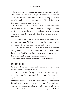Jesus taught us to love our enemies and pray for those who actively harm us. But this goes against every instinct we have. Sometimes we even create enemies, for it's so easy to see anyone who thinks, believes, looks, or lives differently from us as dangerous, a threat to our way of life.

God calls us to set aside our rights in order to seek justice for the most vulnerable. But our culture— through the news, television, social media, and even pulpits— suggests it would be safer to limit the rights of others lest our own rights be threatened.

The Bible warns us not to be overcome by evil, but to overcome evil with good. Yet how often do we allow our fear of evil to overcome the goodness in ourselves and others?

The resurrected Son of God told his friends to be at peace during times of trouble, because his love would remain with them always. But if my own heart is any gauge, we often suspect there is not nearly enough love to go around.

In countless little ways, fear wins us over every day.

#### FEAR, OUR FRENEMY

But let's back up for a second and consider how we got here. After all, fear isn't always an enemy.

This world is full of dangers, and fear is a necessary part of our basic survival package. Without fear, life would be a nightmare, and a short one. My toddlers leapt into deep swimming pools, chased squirrels onto busy streets, and tried to hurl themselves (and anything they could lift) out of our third- story apartment window. After a few exhausting years keeping them alive and intact, I praised God for their ability to feel afraid.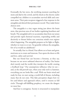Eventually the hot stove, the terrifying moment searching for mom and dad in the crowd, and the shock at the electric outlet compelled my children to accumulate survival skills and common sense. Their pain receptors triggered a fear response in the amygdala and altered their permanent record. They make better choices now.

The amygdala is a tiny organ sitting just above the brain stem, that precious area of our bodies regulating heartbeat and breath. The amygdala's job is to accumulate data from our senses and provide rapid chemical reactions, responding swiftly and decisively to threats before our conscious minds even register what's happening. The amygdala prepares us for fight or flight, whether we want to or not. I'm grateful; without the amygdala, few of us would see adulthood.<sup>1</sup>

So actually, fear is a friend. Fear allows us to learn and grow, motivates us to create and innovate. Fear opens the doors to life and love, safety and survival.

But our friend fear can become a frenemy, as they say, because we are never unbiased observers of reality. Our brains don't merely read the world; they interpret the world, creating a feedback loop.<sup>2</sup> Our assumptions influence what we see and, as the old proverb says, when your only tool is a hammer, everything you see looks like a nail. With our brain wired and ready for fear, we start seeing a world full of threats, including many that do not exist. This false perception shapes how we live and behave and approach others, until it returns us full circle: Through self-fulfilling prophecy, we create the dangers we most fear.

And fear is contagious. Society is structured to manipulate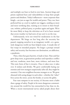and multiply our fears to feed its own lusts. Ancient kings and priests exploited fears and vulnerabilities to keep their people passive and obedient. Today's influencers— more corporate than kingly— are just as eager for wealth and power. They, too, have perfected fear as a tool to exploit our triggers, sending us more and more terrifying data, training us to return to their broadcast, website, political party, or product again and again. We're far more likely to keep the television on if we've been warned that severe weather (or bad news of any sort) is on the way.

Unfortunately, we're not wired for moderation in the fear department. We binge on fear long after the necessity has passed, trapping ourselves in an imaginary world— or a genuinely dangerous world our fears helped create. A steady diet of fear warps its intended purpose. No longer a prompt toward safety and security, fear becomes our destination, an addiction, a pandemic.

Then, when fear goes haywire, it leads to hate. Hate and fear grow deep roots, as generations produce and reproduce conflict and war, vendettas, more hate, more violence, and more fear. This toxic form of fear is invasive. Once it takes root, it takes over. It isolates and divides. We grow comfortable hating our enemies and view strangers suspiciously (after all, they might be enemies). Our own neighbors become strangers to us. We grow obsessed with seeing danger in each other— whether the "other" lives across the street, across the border, or across the globe.

Fear runs rampant in our society; it's become more a habit than a gauge of safety. People in far more dangerous communities around the world live less entrenched in fear than we do. When a recent international survey asked people about their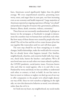#### WHOM SHALL I FEAR?

fears, Americans scored significantly higher than the global average. We even outperformed ourselves, presenting more worry, stress, and anger than in years past, our fears increasing even as our economy and health improved.<sup>3</sup> Large majorities of Americans reported an ongoing experience of being "very afraid" and produced a long list of reasons why: government, pollution, finances, illness, death, terrorists, violence, extremists.<sup>4</sup>

These fears are not necessarily unsubstantiated. A glimpse at history (or the newspaper, or Facebook) is enough to demonstrate the countless ways we humans hurt and abuse each other. But how many of those threats were created by people who were afraid? The evil we fear and the evil we create *because of* our fear run together like watercolors until we can't tell them apart.

The next step *should* be our fears energizing us to make changes, build relationships, make the world safer for everyone. But we already know what happens instead. Our families, neighborhoods, churches, and countries build walls, buy weapons, check locks, batten the hatches— and splinter. We've all seen loved ones turn on each other over issues related to politics, the COVID pandemic, social-justice issues. Everyone knows who and what we stand against, who is in and who is out. Paralyzed by worry and dread, we lose our ability to understand each other, to connect, to heal, to build. As our fear turns to hate we resort to violence or neglect; we don't go out of our way to offer compassion to the people we're afraid might destroy our way of life. Since we view ourselves as fighting on the right side, we view this destructive behavior as moral, even altruistic, rather than the evil it is.

As I look into my heart, my neighborhood, my social-media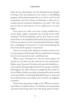feeds, and my relationships, I see the abundant harvest decades of living in fear has produced in our society. A self-fulfilling prophecy of fear- that- becomes- hate is at work in our lives and communities. Just five minutes of listening to cable news or reading internet comments should prove my point. The cycle goes on and on, and each one of us is caught up in it to some degree.

Every person on earth, every day, is being molded into a certain shape, taught a particular way of being in the world. Christians call this discipleship, and we have made an intentional choice to be discipled and formed by Jesus and the Spirit. Our lives are meant to center around loving God and our neighbors, worshiping in the presence of God, and producing the fruit of the Spirit together in community.

And yet, so many of the influences we allow to form us are at cross-purposes with this goal. We are committed to choosing love, but we've given fear such a solid head start.

When I type "Christians are" into my search engine, the top hits are not about our love and care for our communities. Rather, many American Christians are known for fear*ful*ness a fear quickly disintegrating into hatred. For instance, poll after poll suggests that white American evangelicals like myself are twice as likely to believe our safety is threatened by those around us; far more likely to claim long- debunked hoaxes as truth; and out of all Americans, most likely to be viewed by our neighbors as hateful.<sup>5</sup>

Friend, these perceptions weigh on me. Whatever contrasting evidence we might produce, we Christians are not primarily associated with loving others but with being afraid of others.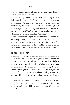The *most* afraid, most easily swayed by conspiracy theories, most quickly driven to hatred.

This is a major blow. The Christian community exists to declare and demonstrate God's love, even in difficult, dangerous circumstances. But instead, it seems many of us have been nurtured through fear into hatred, and from hatred to neglect. If God's true people are known by their love as Jesus claimed, $^6$  we must ask ourselves if God's true people are standing somewhere other than under the sign marked "Christian."

I think back to that night I wrestled my habit of fear against the healing I could find in love. It wasn't that the trauma done to me wasn't real— it was terrible, with lasting impact. The question God put to me was this: Would I continue to be discipled by fear, or could Jesus' love lead me to another way?

#### THE MOST EXCELLENT WAY

Thousands of years ago, in a culture of factions and oppression and very real reasons to be afraid, Jesus climbed a mountain, sat down, and began to teach the gathered crowd that different path, that narrow road. He taught his followers to love without fear or constraint. Love God with your entire being. Love and care for your neighbor. Love and provide for the stranger. Love and pray for your enemies. Jesus did not merely give lip service to this teaching: he lived it with his body, even when it led to his death.

Years later, the apostle John wrote, "There is no fear in love. But perfect love drives out fear. . . . The one who fears is not made perfect in love."<sup>7</sup> This was not a new idea. We've known for millennia that love is the force strong enough to uproot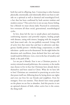both fear and its offspring, hate. Connecting to other humans physically, emotionally, and relationally allows our fears to subside on a spiritual as well as chemical and neurological level, a fact that has been confirmed by both ancient wisdom and modern science.<sup>8</sup> This active love is not an easy, breezy feeling, but a lifestyle we must choose daily. Practiced in community, love overturns all these social, generational, neurobiological cycles.

In love, Jesus led the way to unsafe places and situations, confronting injustice and powerful empires, healing people with diseases, eating with sinners, hanging with the marginalized. Jesus wasn't safe— he was publicly executed. Living a life of active love that resists fear and hate is subversive and dangerous. Earthly powers— whether kings, corporations, or cable television— prefer not to be threatened. Yet the night before his detention and crucifixion, Jesus declared that love and unity would mark his followers. Love, even in the face of unsafety and death, is the path of life.

Let me put it bluntly: Fear is not a Christian practice. A society oriented around politicians, the economy, or the media may choose to live in fear, but Christians have already died to themselves and been raised in Christ. What do we have left to lose? Christians are committed to practicing an active love that pours itself out, following Jesus by laying down our rights and even our lives for our friends and neighbors. Even for strangers. Even our enemies. That doesn't leave many people on the planet we are free to abandon. And this practice is not an optional element of faith, either; active love is the center, the thing itself.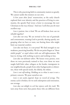This is why practicing faith in community matters so greatly. We cannot tackle this mission on our own.

A few years after Jesus' resurrection, as the early church explored their new identity and the practices of living in community, the apostle Paul wrote a letter to encourage the new Christians in the way of Jesus.<sup>9</sup> *And now I will show you the most excellent way:*

*Love is patient, love is kind.* We are all broken; how can we rebuild together?

*Love does not envy.* We are invited to live out of gratitude and contentment, trusting God to provide, sharing openly, not grasping what we have or want, not fearing those who might limit our material comfort.

*Love does not boast, it is not proud.* We find strength in our weakness, practicing humility. We do not point fingers at "those sinful people" or repel others with our self-righteousness. We lean in, loving, with nothing to prove and nothing to lose.

*Love does not dishonor others.* We honor every person, even those we were previously trained to fear, even those we were taught held little value: refugees at the border, immigrants in our neighborhoods, people from other backgrounds or ethnicities, those with special needs, the elderly, the infant.

*Love is not self-seeking.* Holding on to what is ours is not a primary concern. We pour ourselves out.

*Love is not easily angered, keeps no record of wrongs.* The enemy cycle is broken, for we seek redemption and restoration, not revenge.

*Love does not delight in evil but rejoices with the truth.* We turn away from news that paints those who are different from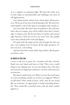us in a negative or suspicious light. We listen for truth, even if truth makes us uncomfortable and challenges our sense of self-righteousness.

*Love always protects, always trusts, always hopes, always perseveres.* We let go of our lives to find abundant life. We move forward together, with God's Spirit to strengthen and console us.

*Love never fails. But where there are prophecies, they will cease; where there are tongues, they will be stilled; where there is knowledge, it will pass away.* We do not listen to teachers who preach right doctrine if they do not live out active love. We amplify voices that embody both truth and dignity.

*If I speak with the tongue of men and of angels but have not love, I am nothing.* Even if I know all the right doctrines, if I have not love, *I am nothing.*

*And now these three remain: faith, hope and love. But the greatest of these is love.*

#### AS MUCH AS YOU CAN

I want to ask you to pause for a moment and take a breath. Reach out your hands and heart to God. This is not a small thing we are stepping into, not an easy thing to face. Our fears and concerns are legitimate and heavy; our lives and loved ones are precious.

But there's another layer too: When we hear that God wants us to do something, another set of fears are triggered. What if we fall short? These words of Jesus', well— they do not sound like an invitation, an opportunity to build something beautiful. They sound like a pass/fail exam with the deck stacked against us.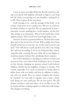#### WHOM SHALL I FEAR?

I want to assure you right off the bat that the road we're taking is not paved with legalism, demands so high we can't help but fail. God is not peering over our shoulders, waiting for us to fall. There is grace all the way down.

God's message to us— and the message of this book— is *do not fear*. God invites us to a perfect love. We have no reason to be afraid of failure or rejection. We are empowered by love unearned, eternal, unfailing love. God's *kindness*, not his hostility, brings us to repentance. This is God's joyful idea, God's jubilant project. This is God's love from beginning to end.

And now, God sets a question before us. We have been made alive and set free by the love of God. *Will we follow Jesus?* Jesus himself warned us to count the cost, for the road is narrow and hard.<sup>10</sup> Few will choose to pick up their cross. But I am writing this, and you are reading it, for we are doing just that: considering this path, counting this cost. After all, no one begins an enormous project without first calculating what it requires.

Part of this calculation is deciding to confront our fears and step out in love, even when it feels terrifying to do so. It means we fear *bravely*, changing our posture toward God's beloved children, whether they be neighbors, strangers, or enemies. This is hard, especially if we aren't accustomed to being asked to follow Jesus with our bodies and lives in addition to believing with our minds. Plus, we cannot complete this mission by ourselves. So, God calls us together into a team, a body, each doing our own small part. We are not saviors. We will destroy ourselves—and each other—if we act like we are. We are hands and feet, working together to make this small change that changes everything.